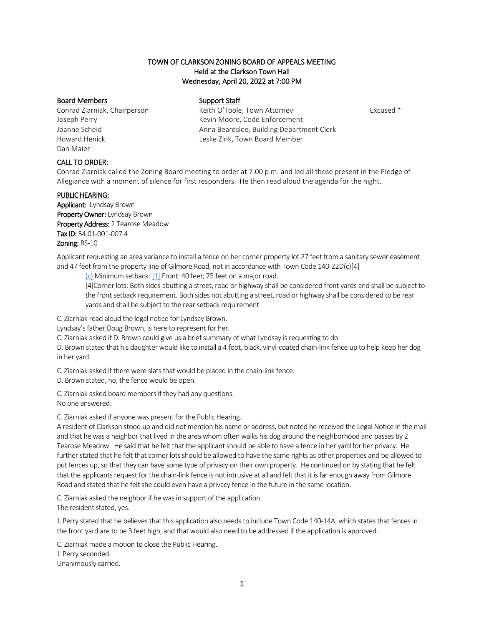# TOWN OF CLARKSON ZONING BOARD OF APPEALS MEETING Held at the Clarkson Town Hall Wednesday, April 20, 2022 at 7:00 PM

### Board Members Support Staff

Dan Maier

Conrad Ziarniak, Chairperson **Keith O'Toole, Town Attorney** Excused \* Joseph Perry **Kevin Moore, Code Enforcement** Joanne Scheid Anna Beardslee, Building Department Clerk Howard Henick Leslie Zink, Town Board Member

# CALL TO ORDER:

Conrad Ziarniak called the Zoning Board meeting to order at 7:00 p.m. and led all those present in the Pledge of Allegiance with a moment of silence for first responders. He then read aloud the agenda for the night.

### PUBLIC HEARING:

Applicant: Lyndsay Brown Property Owner: Lyndsay Brown Property Address: 2 Tearose Meadow Tax ID: 54.01-001-007.4 Zoning: RS-10

Applicant requesting an area variance to install a fence on her corner property lot 27 feet from a sanitary sewer easement and 47 feet from the property line of Gilmore Road, not in accordance with Town Code 140-22D(c)[4]

[\(c\)](https://ecode360.com/8650829#8650829) Minimum setback: [\[1\]](https://ecode360.com/8650830#8650830) Front: 40 feet; 75 feet on a major road.

[4]Corner lots: Both sides abutting a street, road or highway shall be considered front yards and shall be subject to the front setback requirement. Both sides not abutting a street, road or highway shall be considered to be rear yards and shall be subject to the rear setback requirement.

C. Ziarniak read aloud the legal notice for Lyndsay Brown.

Lyndsay's father Doug Brown, is here to represent for her.

C. Ziarniak asked if D. Brown could give us a brief summary of what Lyndsay is requesting to do.

D. Brown stated that his daughter would like to install a 4 foot, black, vinyl-coated chain-link fence up to help keep her dog in her yard.

C. Ziarniak asked if there were slats that would be placed in the chain-link fence.

D. Brown stated, no, the fence would be open.

C. Ziarniak asked board members if they had any questions. No one answered.

C. Ziarniak asked if anyone was present for the Public Hearing.

A resident of Clarkson stood up and did not mention his name or address, but noted he received the Legal Notice in the mail and that he was a neighbor that lived in the area whom often walks his dog around the neighborhood and passes by 2 Tearose Meadow. He said that he felt that the applicant should be able to have a fence in her yard for her privacy. He further stated that he felt that corner lots should be allowed to have the same rights as other properties and be allowed to put fences up, so that they can have some type of privacy on their own property. He continued on by stating that he felt that the applicants request for the chain-link fence is not intrusive at all and felt that it is far enough away from Gilmore Road and stated that he felt she could even have a privacy fence in the future in the same location.

C. Ziarniak asked the neighbor if he was in support of the application.

The resident stated, yes.

J. Perry stated that he believes that this application also needs to include Town Code 140-14A, which states that fences in the front yard are to be 3 feet high, and that would also need to be addressed if the application is approved.

C. Ziarniak made a motion to close the Public Hearing.

J. Perry seconded.

Unanimously carried.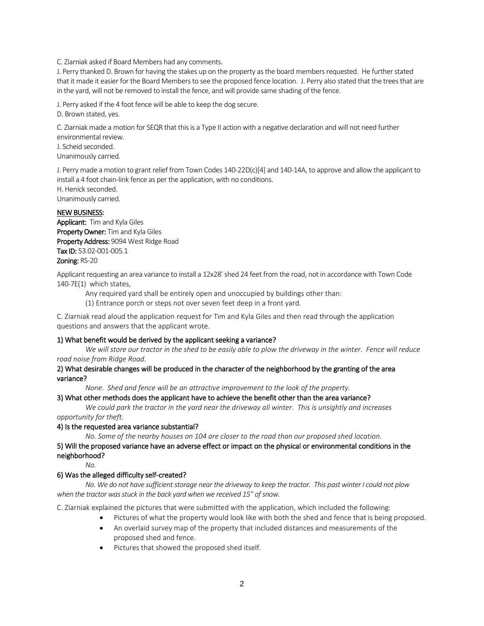C. Ziarniak asked if Board Members had any comments.

J. Perry thanked D. Brown for having the stakes up on the property as the board members requested. He further stated that it made it easier for the Board Members to see the proposed fence location. J. Perry also stated that the trees that are in the yard, will not be removed to install the fence, and will provide same shading of the fence.

J. Perry asked if the 4 foot fence will be able to keep the dog secure.

D. Brown stated, yes.

C. Ziarniak made a motion for SEQR that this is a Type II action with a negative declaration and will not need further environmental review.

J. Scheid seconded.

Unanimously carried.

J. Perry made a motion to grant relief from Town Codes 140-22D(c)[4] and 140-14A, to approve and allow the applicant to install a 4 foot chain-link fence as per the application, with no conditions.

H. Henick seconded. Unanimously carried.

# NEW BUSINESS:

Applicant: Tim and Kyla Giles Property Owner: Tim and Kyla Giles Property Address: 9094 West Ridge Road Tax ID: 53.02-001-005.1 Zoning: RS-20

Applicant requesting an area variance to install a 12x28' shed 24 feet from the road, not in accordance with Town Code 140-7E(1[\) w](https://ecode360.com/8650564#8650564)hich states,

Any required yard shall be entirely open and unoccupied by buildings other than:

[\(1\)](https://ecode360.com/8650565#8650565) Entrance porch or steps not over seven feet deep in a front yard.

C. Ziarniak read aloud the application request for Tim and Kyla Giles and then read through the application questions and answers that the applicant wrote.

# 1) What benefit would be derived by the applicant seeking a variance?

*We will store our tractor in the shed to be easily able to plow the driveway in the winter. Fence will reduce road noise from Ridge Road.*

#### 2) What desirable changes will be produced in the character of the neighborhood by the granting of the area variance?

*None. Shed and fence will be an attractive improvement to the look of the property.*

# 3) What other methods does the applicant have to achieve the benefit other than the area variance?

*We could park the tractor in the yard near the driveway all winter. This is unsightly and increases* 

*opportunity for theft.*

#### 4) Is the requested area variance substantial?

*No. Some of the nearby houses on 104 are closer to the road than our proposed shed location.*

# 5) Will the proposed variance have an adverse effect or impact on the physical or environmental conditions in the neighborhood?

*No.*

# 6) Was the alleged difficulty self-created?

*No. We do not have sufficient storage near the driveway to keep the tractor. This past winter I could not plow when the tractor was stuck in the back yard when we received 15" of snow.*

C. Ziarniak explained the pictures that were submitted with the application, which included the following:

- Pictures of what the property would look like with both the shed and fence that is being proposed.
- An overlaid survey map of the property that included distances and measurements of the proposed shed and fence.
- Pictures that showed the proposed shed itself.